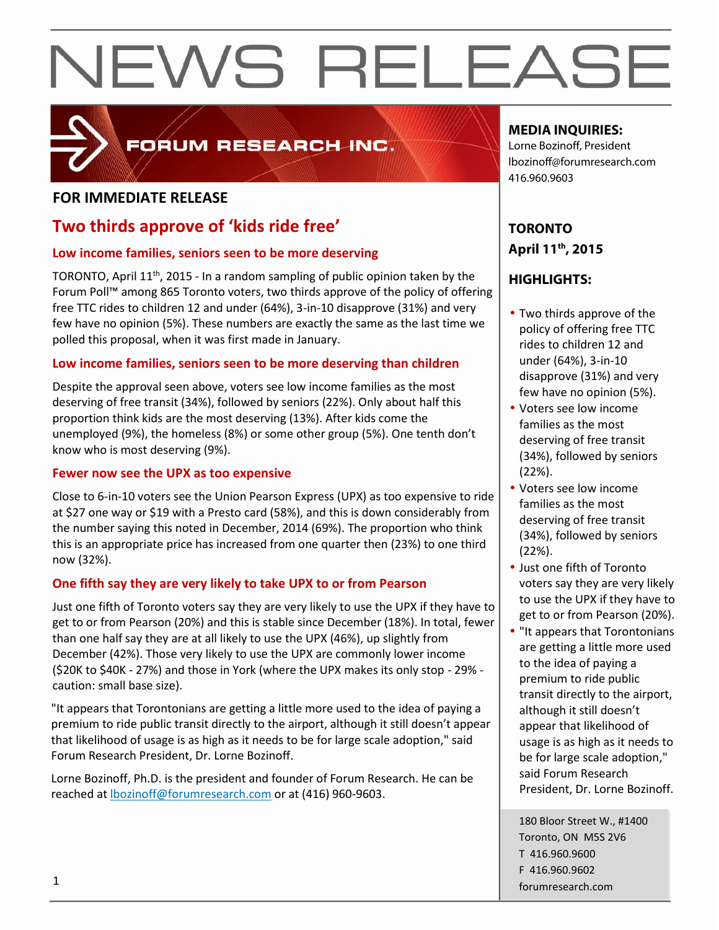

## FORUM RESEARCH INC.

## **FOR IMMEDIATE RELEASE**

## **Two thirds approve of 'kids ride free'**

## **Low income families, seniors seen to be more deserving**

TORONTO, April 11<sup>th</sup>, 2015 - In a random sampling of public opinion taken by the Forum Poll™ among 865 Toronto voters, two thirds approve of the policy of offering free TTC rides to children 12 and under (64%), 3-in-10 disapprove (31%) and very few have no opinion (5%). These numbers are exactly the same as the last time we polled this proposal, when it was first made in January.

## **Low income families, seniors seen to be more deserving than children**

Despite the approval seen above, voters see low income families as the most deserving of free transit (34%), followed by seniors (22%). Only about half this proportion think kids are the most deserving (13%). After kids come the unemployed (9%), the homeless (8%) or some other group (5%). One tenth don't know who is most deserving (9%).

## **Fewer now see the UPX as too expensive**

Close to 6-in-10 voters see the Union Pearson Express (UPX) as too expensive to ride at \$27 one way or \$19 with a Presto card (58%), and this is down considerably from the number saying this noted in December, 2014 (69%). The proportion who think this is an appropriate price has increased from one quarter then (23%) to one third now (32%).

## **One fifth say they are very likely to take UPX to or from Pearson**

Just one fifth of Toronto voters say they are very likely to use the UPX if they have to get to or from Pearson (20%) and this is stable since December (18%). In total, fewer than one half say they are at all likely to use the UPX (46%), up slightly from December (42%). Those very likely to use the UPX are commonly lower income (\$20K to \$40K - 27%) and those in York (where the UPX makes its only stop - 29% caution: small base size).

"It appears that Torontonians are getting a little more used to the idea of paying a premium to ride public transit directly to the airport, although it still doesn't appear that likelihood of usage is as high as it needs to be for large scale adoption," said Forum Research President, Dr. Lorne Bozinoff.

Lorne Bozinoff, Ph.D. is the president and founder of Forum Research. He can be reached at **bozinoff@forumresearch.com** or at (416) 960-9603.

## **MEDIA INQUIRIES:**

Lorne Bozinoff, President lbozinoff@forumresearch.com 416.960.9603

## **TORONTO April 11th, 2015**

## **HIGHLIGHTS:**

- Two thirds approve of the policy of offering free TTC rides to children 12 and under (64%), 3-in-10 disapprove (31%) and very few have no opinion (5%).
- Voters see low income families as the most deserving of free transit (34%), followed by seniors (22%).
- Voters see low income families as the most deserving of free transit (34%), followed by seniors (22%).
- Just one fifth of Toronto voters say they are very likely to use the UPX if they have to get to or from Pearson (20%).
- "It appears that Torontonians are getting a little more used to the idea of paying a premium to ride public transit directly to the airport, although it still doesn't appear that likelihood of usage is as high as it needs to be for large scale adoption," said Forum Research President, Dr. Lorne Bozinoff.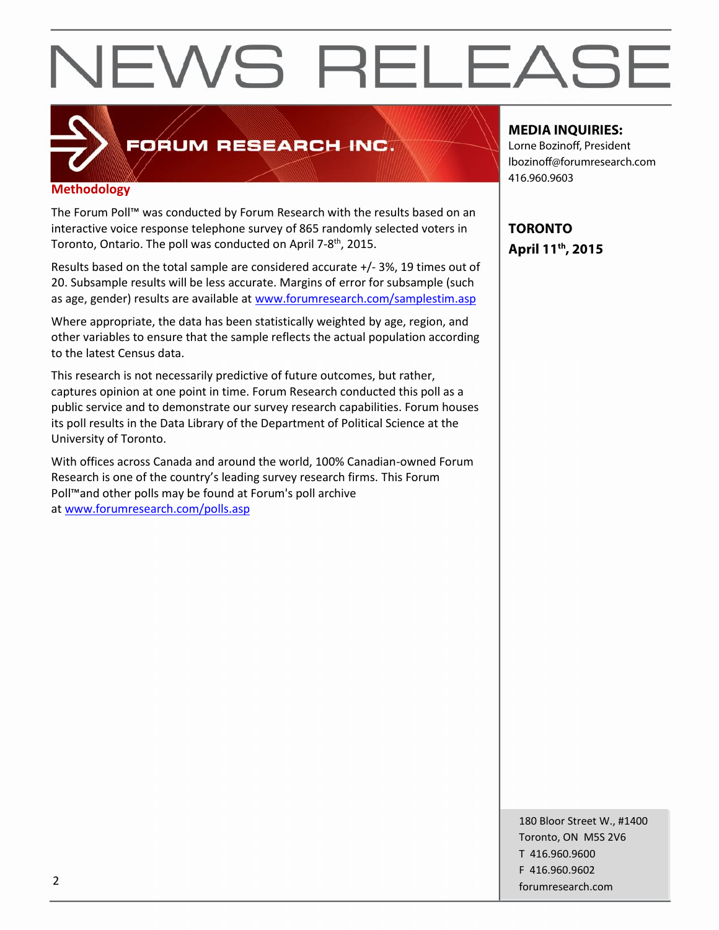

## FORUM RESEARCH INC.

## **Methodology**

The Forum Poll™ was conducted by Forum Research with the results based on an interactive voice response telephone survey of 865 randomly selected voters in Toronto, Ontario. The poll was conducted on April 7-8<sup>th</sup>, 2015.

Results based on the total sample are considered accurate +/-3%, 19 times out of 20. Subsample results will be less accurate. Margins of error for subsample (such as age, gender) results are available at www.forumresearch.com/samplestim.asp

Where appropriate, the data has been statistically weighted by age, region, and other variables to ensure that the sample reflects the actual population according to the latest Census data.

This research is not necessarily predictive of future outcomes, but rather, captures opinion at one point in time. Forum Research conducted this poll as a public service and to demonstrate our survey research capabilities. Forum houses its poll results in the Data Library of the Department of Political Science at the University of Toronto.

With offices across Canada and around the world, 100% Canadian-owned Forum Research is one of the country's leading survey research firms. This Forum Poll™and other polls may be found at Forum's poll archive at www.forumresearch.com/polls.asp

## **MEDIA INQUIRIES:**

Lorne Bozinoff, President lbozinoff@forumresearch.com 416.960.9603

**TORONTO April 11th, 2015**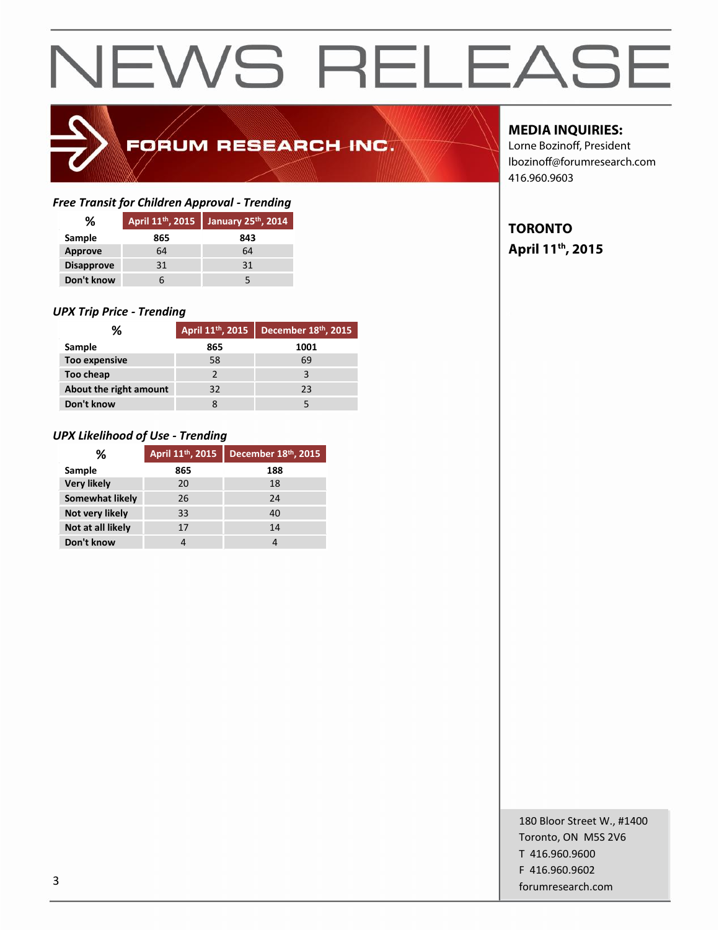

## FORUM RESEARCH INC.

## *Free Transit for Children Approval - Trending*

| ℅                 | April 11 <sup>th</sup> , 2015 | January 25th, 2014 |
|-------------------|-------------------------------|--------------------|
| Sample            | 865                           | 843                |
| <b>Approve</b>    | 64                            | 64                 |
| <b>Disapprove</b> | 31                            | 31                 |
| Don't know        |                               |                    |

## *UPX Trip Price - Trending*

| ℅                      | April 11 <sup>th</sup> , 2015 | December 18th, 2015 |  |
|------------------------|-------------------------------|---------------------|--|
| Sample                 | 865                           | 1001                |  |
| <b>Too expensive</b>   | 58                            | 69                  |  |
| Too cheap              |                               |                     |  |
| About the right amount | 32                            | 23                  |  |
| Don't know             |                               |                     |  |

## *UPX Likelihood of Use - Trending*

| ℅                  | April 11 <sup>th</sup> , 2015 | December 18th, 2015 |
|--------------------|-------------------------------|---------------------|
| Sample             | 865                           | 188                 |
| <b>Very likely</b> | 20                            | 18                  |
| Somewhat likely    | 26                            | 24                  |
| Not very likely    | 33                            | 40                  |
| Not at all likely  | 17                            | 14                  |
| Don't know         |                               |                     |

## **MEDIA INQUIRIES:**

Lorne Bozinoff, President lbozinoff@forumresearch.com 416.960.9603

## **TORONTO April 11th, 2015**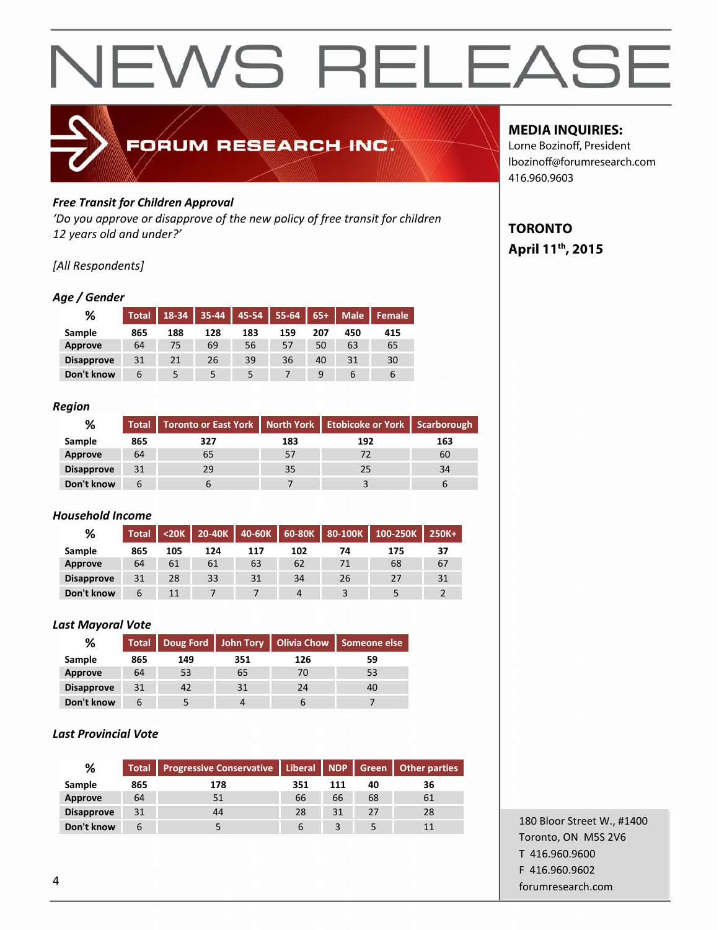

## *Free Transit for Children Approval*

*'Do you approve or disapprove of the new policy of free transit for children 12 years old and under?'*

## *[All Respondents]*

## *Age / Gender*

| %                 | <b>Total</b> | 18-34 | 35-44 |     | $145-54$ 55-64 | $65+$ | Male <sup>'</sup> | Female |
|-------------------|--------------|-------|-------|-----|----------------|-------|-------------------|--------|
| Sample            | 865          | 188   | 128   | 183 | 159            | 207   | 450               | 415    |
| Approve           | 64           | 75    | 69    | 56  | 57             | 50    | 63                | 65     |
| <b>Disapprove</b> | 31           | 21    | 26    | 39  | 36             | 40    | 31                | 30     |
| Don't know        | 6            |       |       | 5   |                | 9     | b                 | ь      |

## *Region*

| %                 |     | Total   Toronto or East York   North York   Etobicoke or York   Scarborough |     |     |     |
|-------------------|-----|-----------------------------------------------------------------------------|-----|-----|-----|
| Sample            | 865 | 327                                                                         | 183 | 192 | 163 |
| Approve           | 64  | ხ5                                                                          |     |     | 60  |
| <b>Disapprove</b> | 31  | 29                                                                          | 35  | 25  | 34  |
| Don't know        |     |                                                                             |     |     |     |

## *Household Income*

| %                 | <b>Total</b> |     | $<$ 20K   20-40K |     |     |    | 40-60K   60-80K   80-100K   100-250K | 250K+ |
|-------------------|--------------|-----|------------------|-----|-----|----|--------------------------------------|-------|
| Sample            | 865          | 105 | 124              | 117 | 102 | 74 | 175                                  | 37    |
| Approve           | 64           | 61  | 61               | 63  | 62  | 71 | 68                                   | 67    |
| <b>Disapprove</b> | 31           | 28  | 33               | 31  | 34  | 26 | 27                                   | 31    |
| Don't know        | 6            | 11  |                  |     | 4   |    |                                      |       |

## *Last Mayoral Vote*

| %                 | <b>Total</b> |     |     |     | Doug Ford John Tory   Olivia Chow   Someone else |
|-------------------|--------------|-----|-----|-----|--------------------------------------------------|
| Sample            | 865          | 149 | 351 | 126 | 59                                               |
| Approve           | 64           | 53  | 65  | 70  | 53                                               |
| <b>Disapprove</b> | 31           | 42  | 31  | 24  | 40                                               |
| Don't know        | h            |     |     |     |                                                  |

## *Last Provincial Vote*

| %                 | <b>Total</b> | Progressive Conservative   Liberal   NDP   Green   Other parties |     |     |    |    |
|-------------------|--------------|------------------------------------------------------------------|-----|-----|----|----|
| <b>Sample</b>     | 865          | 178                                                              | 351 | 111 | 40 | 36 |
| Approve           | 64           | 51                                                               | 66  | 66  | 68 | 61 |
| <b>Disapprove</b> | 31           | 44                                                               | 28  | 31  | 27 | 28 |
| Don't know        | b            |                                                                  | 6   |     |    | 11 |

## **MEDIA INQUIRIES:**

Lorne Bozinoff, President lbozinoff@forumresearch.com 416.960.9603

## **TORONTO April 11th, 2015**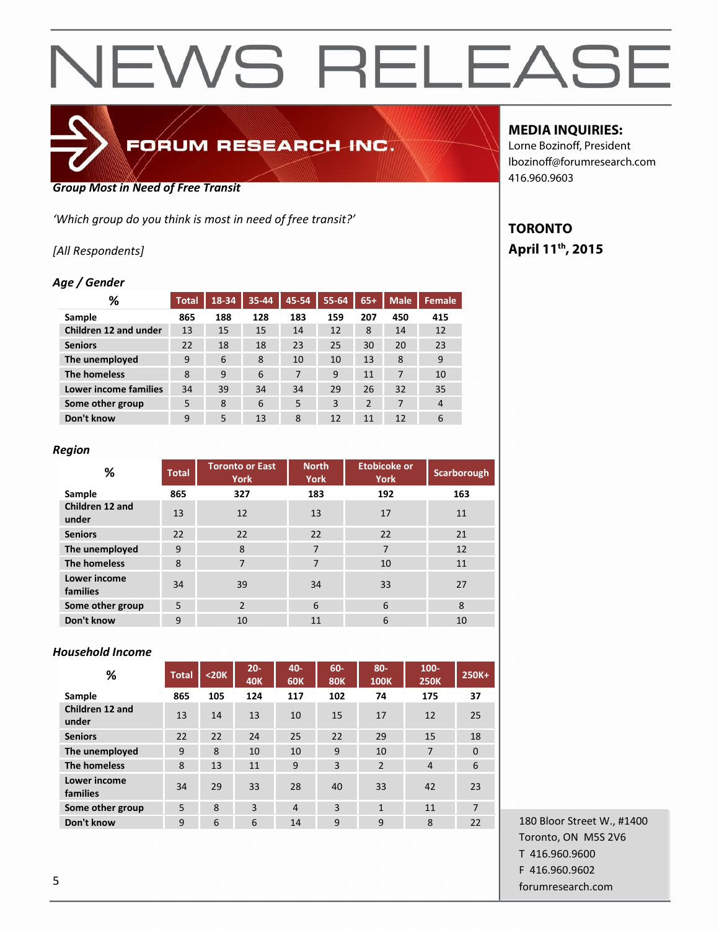

## FORUM RESEARCH INC.

### *Group Most in Need of Free Transit*

*'Which group do you think is most in need of free transit?'*

## *[All Respondents]*

## *Age / Gender*

| ℅                            | <b>Total</b> | 18-34 | 35-44 | 45-54 | 55-64 | $65+$          | <b>Male</b> | <b>Female</b>  |
|------------------------------|--------------|-------|-------|-------|-------|----------------|-------------|----------------|
| Sample                       | 865          | 188   | 128   | 183   | 159   | 207            | 450         | 415            |
| Children 12 and under        | 13           | 15    | 15    | 14    | 12    | 8              | 14          | 12             |
| <b>Seniors</b>               | 22           | 18    | 18    | 23    | 25    | 30             | 20          | 23             |
| The unemployed               | 9            | 6     | 8     | 10    | 10    | 13             | 8           | 9              |
| The homeless                 | 8            | 9     | 6     | 7     | 9     | 11             | 7           | 10             |
| <b>Lower income families</b> | 34           | 39    | 34    | 34    | 29    | 26             | 32          | 35             |
| Some other group             | 5            | 8     | 6     | 5     | 3     | $\overline{2}$ | 7           | $\overline{4}$ |
| Don't know                   | 9            | 5     | 13    | 8     | 12    | 11             | 12          | 6              |

### *Region*

| %                        | <b>Total</b> | <b>Toronto or East</b><br>York | <b>North</b><br><b>York</b> | <b>Etobicoke or</b><br><b>York</b> | Scarborough |
|--------------------------|--------------|--------------------------------|-----------------------------|------------------------------------|-------------|
| Sample                   | 865          | 327                            | 183                         | 192                                | 163         |
| Children 12 and<br>under | 13           | 12                             | 13                          | 17                                 | 11          |
| <b>Seniors</b>           | 22           | 22                             | 22                          | 22                                 | 21          |
| The unemployed           | 9            | 8                              | 7                           | 7                                  | 12          |
| The homeless             | 8            | 7                              | 7                           | 10                                 | 11          |
| Lower income<br>families | 34           | 39                             | 34                          | 33                                 | 27          |
| Some other group         | 5            | $\overline{2}$                 | 6                           | 6                                  | 8           |
| Don't know               | 9            | 10                             | 11                          | 6                                  | 10          |

## *Household Income*

| %                        | <b>Total</b> | $20K$ | $20 -$<br><b>40K</b> | 40-<br><b>60K</b> | $60 -$<br><b>80K</b> | $80-$<br><b>100K</b> | $100 -$<br><b>250K</b> | 250K+    |
|--------------------------|--------------|-------|----------------------|-------------------|----------------------|----------------------|------------------------|----------|
| Sample                   | 865          | 105   | 124                  | 117               | 102                  | 74                   | 175                    | 37       |
| Children 12 and<br>under | 13           | 14    | 13                   | 10                | 15                   | 17                   | 12                     | 25       |
| <b>Seniors</b>           | 22           | 22    | 24                   | 25                | 22                   | 29                   | 15                     | 18       |
| The unemployed           | 9            | 8     | 10                   | 10                | 9                    | 10                   | 7                      | $\Omega$ |
| The homeless             | 8            | 13    | 11                   | 9                 | 3                    | $\overline{2}$       | $\overline{4}$         | 6        |
| Lower income<br>families | 34           | 29    | 33                   | 28                | 40                   | 33                   | 42                     | 23       |
| Some other group         | 5            | 8     | 3                    | $\overline{4}$    | 3                    | $\mathbf{1}$         | 11                     | 7        |
| Don't know               | 9            | 6     | 6                    | 14                | 9                    | 9                    | 8                      | 22       |

## **MEDIA INQUIRIES:**

Lorne Bozinoff, President lbozinoff@forumresearch.com 416.960.9603

## **TORONTO April 11th, 2015**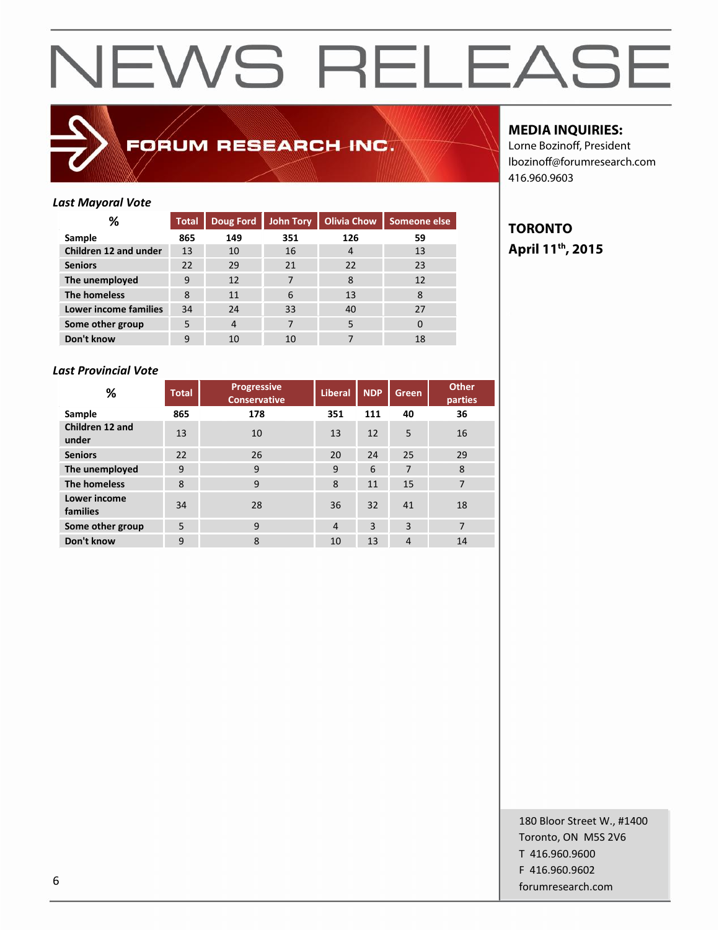

## FORUM RESEARCH INC.

## **MEDIA INQUIRIES:**

Lorne Bozinoff, President lbozinoff@forumresearch.com 416.960.9603

## *Last Mayoral Vote*

| ℅                     | <b>Total</b> | <b>Doug Ford</b> | John Tory | <b>Olivia Chow</b> | Someone else |
|-----------------------|--------------|------------------|-----------|--------------------|--------------|
| Sample                | 865          | 149              | 351       | 126                | 59           |
| Children 12 and under | 13           | 10               | 16        | 4                  | 13           |
| <b>Seniors</b>        | 22           | 29               | 21        | 22                 | 23           |
| The unemployed        | 9            | 12               | 7         | 8                  | 12           |
| The homeless          | 8            | 11               | 6         | 13                 | 8            |
| Lower income families | 34           | 24               | 33        | 40                 | 27           |
| Some other group      | 5            | 4                | 7         | 5                  | 0            |
| Don't know            | 9            | 10               | 10        |                    | 18           |

## *Last Provincial Vote*

| %                               | <b>Progressive</b><br><b>Total</b><br><b>Conservative</b> |     | <b>Liberal</b> | <b>NDP</b> | Green | <b>Other</b><br>parties |
|---------------------------------|-----------------------------------------------------------|-----|----------------|------------|-------|-------------------------|
| Sample                          | 865                                                       | 178 | 351            | 111        | 40    | 36                      |
| Children 12 and<br>under        | 13                                                        | 10  | 13             | 12         | 5     | 16                      |
| <b>Seniors</b>                  | 22                                                        | 26  | 20             | 24         | 25    | 29                      |
| The unemployed                  | 9                                                         | 9   | 9              | 6          | 7     | 8                       |
| <b>The homeless</b>             | 8                                                         | 9   | 8              | 11         | 15    | 7                       |
| <b>Lower income</b><br>families | 34                                                        | 28  | 36             | 32         | 41    | 18                      |
| Some other group                | 5                                                         | 9   | $\overline{4}$ | 3          | 3     | $\overline{7}$          |
| Don't know                      | 9                                                         | 8   | 10             | 13         | 4     | 14                      |

**TORONTO April 11th, 2015**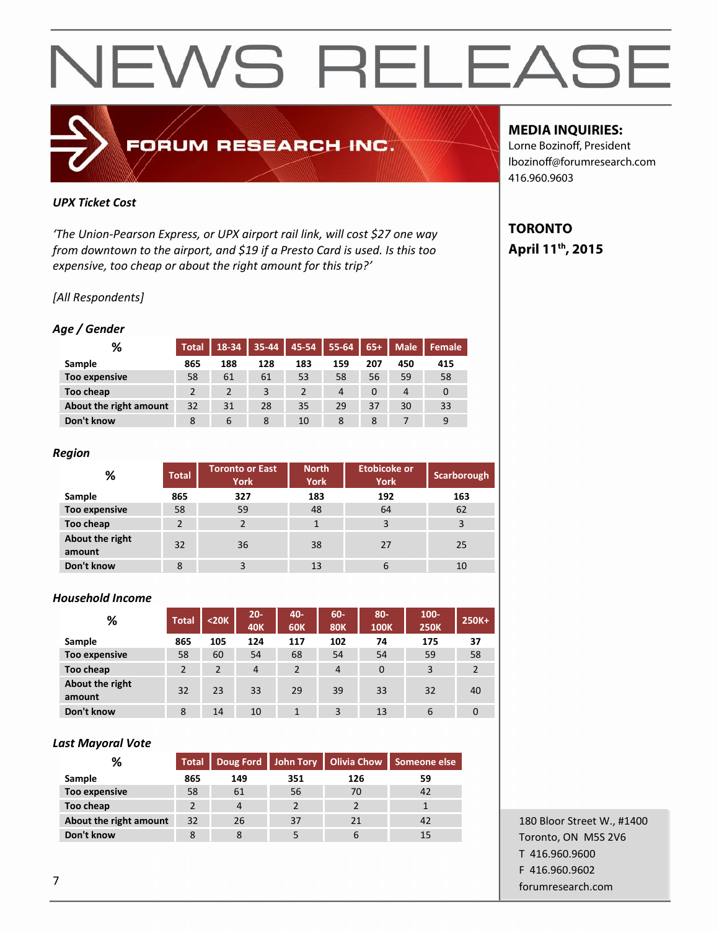

## *UPX Ticket Cost*

*'The Union-Pearson Express, or UPX airport rail link, will cost \$27 one way from downtown to the airport, and \$19 if a Presto Card is used. Is this too expensive, too cheap or about the right amount for this trip?'*

## *[All Respondents]*

## *Age / Gender*

| %                      | <b>Total</b> | 18-34 | $35 - 44$ | $ 45-54 $ | $55 - 64$ | $65+$    | <b>Male</b> | Female |
|------------------------|--------------|-------|-----------|-----------|-----------|----------|-------------|--------|
| Sample                 | 865          | 188   | 128       | 183       | 159       | 207      | 450         | 415    |
| Too expensive          | 58           | 61    | 61        | 53        | 58        | 56       | 59          | 58     |
| Too cheap              |              |       |           |           | 4         | $\Omega$ | 4           | 0      |
| About the right amount | 32           | 31    | 28        | 35        | 29        | 37       | 30          | 33     |
| Don't know             | 8            | 6     | 8         | 10        | 8         | 8        |             | 9      |

## *Region*

| %                         | <b>Total</b> | <b>Toronto or East</b><br><b>York</b> | <b>North</b><br><b>York</b> | Etobicoke or<br><b>York</b> | Scarborough |
|---------------------------|--------------|---------------------------------------|-----------------------------|-----------------------------|-------------|
| Sample                    | 865          | 327                                   | 183                         | 192                         | 163         |
| <b>Too expensive</b>      | 58           | 59                                    | 48                          | 64                          | 62          |
| Too cheap                 |              |                                       |                             | 3                           | 3           |
| About the right<br>amount | 32           | 36                                    | 38                          | 27                          | 25          |
| Don't know                | 8            |                                       | 13                          | 6                           | 10          |

## *Household Income*

| %                         | <b>Total</b>   | $20K$ | $20 -$<br><b>40K</b> | 40-<br><b>60K</b> | $60-$<br><b>80K</b> | $80 -$<br><b>100K</b> | $100 -$<br><b>250K</b> | 250K+          |
|---------------------------|----------------|-------|----------------------|-------------------|---------------------|-----------------------|------------------------|----------------|
| Sample                    | 865            | 105   | 124                  | 117               | 102                 | 74                    | 175                    | 37             |
| <b>Too expensive</b>      | 58             | 60    | 54                   | 68                | 54                  | 54                    | 59                     | 58             |
| Too cheap                 | $\mathfrak{p}$ | 2     | $\overline{4}$       | $\overline{2}$    | $\overline{4}$      | $\mathbf 0$           | 3                      | $\overline{2}$ |
| About the right<br>amount | 32             | 23    | 33                   | 29                | 39                  | 33                    | 32                     | 40             |
| Don't know                | 8              | 14    | 10                   | 1                 | 3                   | 13                    | 6                      | $\overline{0}$ |

## *Last Mayoral Vote*

| %                      | <b>Total</b> |                |     |     | Doug Ford John Tory   Olivia Chow   Someone else |
|------------------------|--------------|----------------|-----|-----|--------------------------------------------------|
| Sample                 | 865          | 149            | 351 | 126 | 59                                               |
| Too expensive          | 58           | 61             | 56  | 70  | 42                                               |
| Too cheap              |              | $\overline{4}$ |     |     |                                                  |
| About the right amount | 32           | 26             | 37  | 21  | 42                                               |
| Don't know             | 8            | 8              |     | b   | 15                                               |

## 180 Bloor Street W., #1400 Toronto, ON M5S 2V6 T 416.960.9600 F 416.960.9602 forumresearch.com 7

## **MEDIA INQUIRIES:**

Lorne Bozinoff, President lbozinoff@forumresearch.com 416.960.9603

## **TORONTO April 11th, 2015**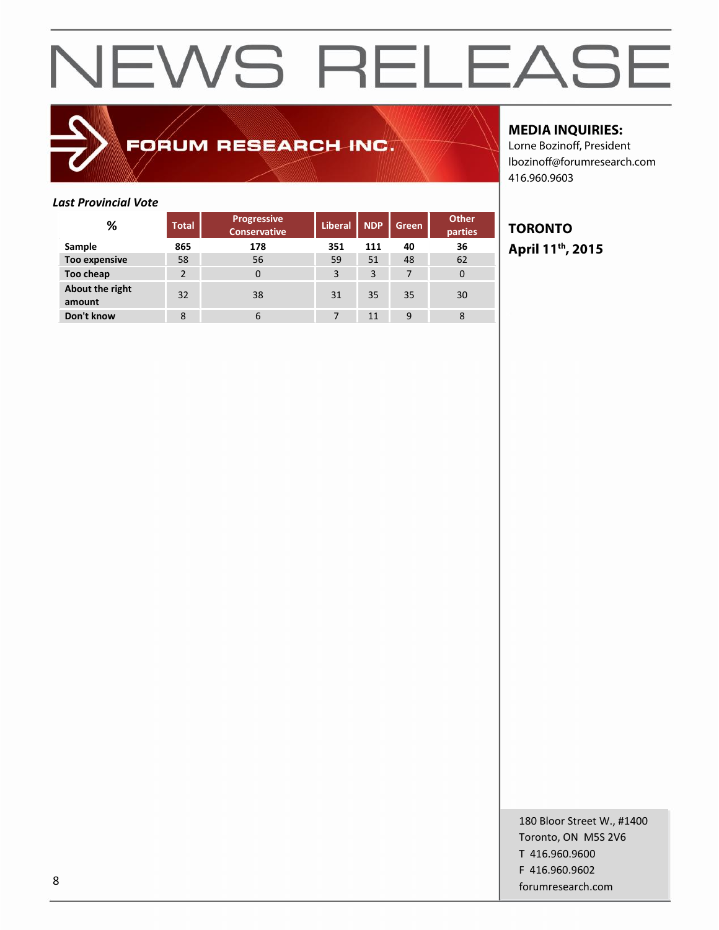## FORUM RESEARCH INC.

## **MEDIA INQUIRIES:**

Lorne Bozinoff, President lbozinoff@forumresearch.com 416.960.9603

## *Last Provincial Vote*

| %                         | <b>Total</b>   | <b>Progressive</b><br><b>Conservative</b> |     | <b>NDP</b> | <b>Green</b> | <b>Other</b><br>parties |
|---------------------------|----------------|-------------------------------------------|-----|------------|--------------|-------------------------|
| Sample                    | 865            | 178                                       | 351 | 111        | 40           | 36                      |
| Too expensive             | 58             | 56                                        | 59  | 51         | 48           | 62                      |
| Too cheap                 | $\mathfrak{p}$ | $\Omega$                                  | 3   | 3          | 7            | 0                       |
| About the right<br>amount | 32             | 38                                        | 31  | 35         | 35           | 30                      |
| Don't know                | 8              | 6                                         |     | 11         | 9            | 8                       |

## **TORONTO April 11th, 2015**

180 Bloor Street W., #1400 Toronto, ON M5S 2V6 T 416.960.9600 F 416.960.9602 entity and the state of the state of the state of the state of the state of the state of the state of the state of the state of the state of the state of the state of the state of the state of the state of the state of the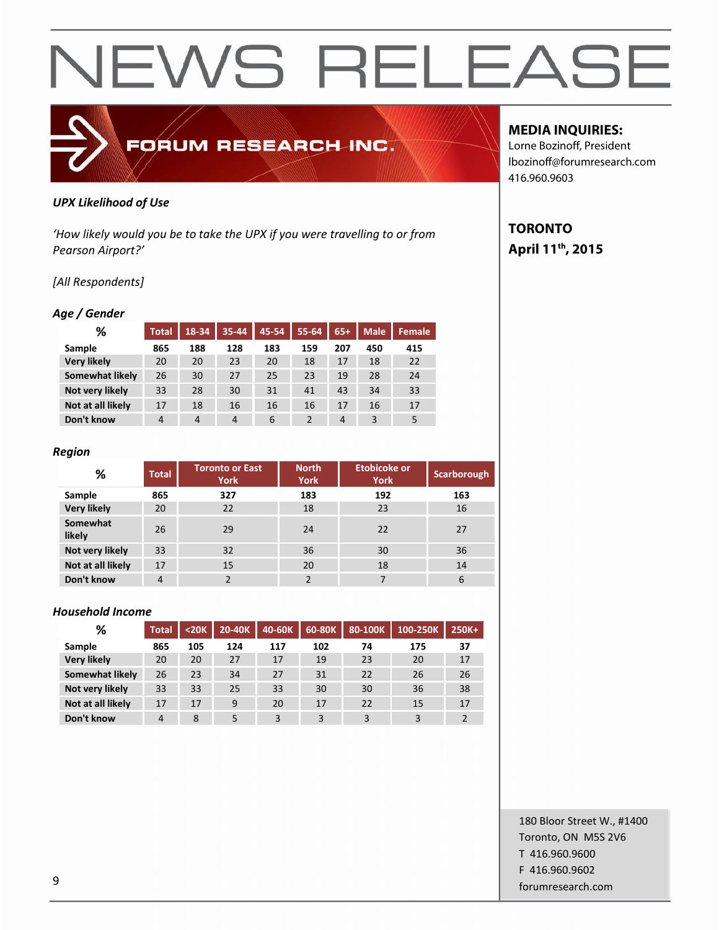*UPX Likelihood of Use*

*'How likely would you be to take the UPX if you were travelling to or from Pearson Airport?'*

FORUM RESEARCH INC.

## *[All Respondents]*

### *Age / Gender*

| %                  | Total          | 18-34 | $35 - 44$      | 45-54 | 55-64 | $65+$ | <b>Male</b> | Female |
|--------------------|----------------|-------|----------------|-------|-------|-------|-------------|--------|
| Sample             | 865            | 188   | 128            | 183   | 159   | 207   | 450         | 415    |
| <b>Very likely</b> | 20             | 20    | 23             | 20    | 18    | 17    | 18          | 22     |
| Somewhat likely    | 26             | 30    | 27             | 25    | 23    | 19    | 28          | 24     |
| Not very likely    | 33             | 28    | 30             | 31    | 41    | 43    | 34          | 33     |
| Not at all likely  | 17             | 18    | 16             | 16    | 16    | 17    | 16          | 17     |
| Don't know         | $\overline{4}$ | 4     | $\overline{4}$ | 6     | 2     | 4     | 3           | 5      |

### *Region*

| %                  | <b>Total</b> | <b>North</b><br><b>Toronto or East</b><br><b>York</b><br><b>York</b> |     | Etobicoke or<br><b>York</b> | Scarborough |
|--------------------|--------------|----------------------------------------------------------------------|-----|-----------------------------|-------------|
| Sample             | 865          | 327                                                                  | 183 | 192                         | 163         |
| <b>Very likely</b> | 20           | 22                                                                   | 18  | 23                          | 16          |
| Somewhat<br>likely | 26           | 29                                                                   | 24  | 22                          | 27          |
| Not very likely    | 33           | 32                                                                   | 36  | 30                          | 36          |
| Not at all likely  | 17           | 15                                                                   | 20  | 18                          | 14          |
| Don't know         | 4            | っ                                                                    |     |                             | 6           |

### *Household Income*

| %                  | <b>Total</b> | $<$ 20 $K$ | 20-40K | 40-60K | 60-80K | 80-100K | 100-250K | 250K+ |
|--------------------|--------------|------------|--------|--------|--------|---------|----------|-------|
| Sample             | 865          | 105        | 124    | 117    | 102    | 74      | 175      | 37    |
| <b>Very likely</b> | 20           | 20         | 27     | 17     | 19     | 23      | 20       | 17    |
| Somewhat likely    | 26           | 23         | 34     | 27     | 31     | 22      | 26       | 26    |
| Not very likely    | 33           | 33         | 25     | 33     | 30     | 30      | 36       | 38    |
| Not at all likely  | 17           | 17         | 9      | 20     | 17     | 22      | 15       | 17    |
| Don't know         | 4            | 8          | 5      | 3      | 3      | 3       | 3        |       |

## **MEDIA INQUIRIES:**

Lorne Bozinoff, President lbozinoff@forumresearch.com 416.960.9603

## **TORONTO April 11th, 2015**